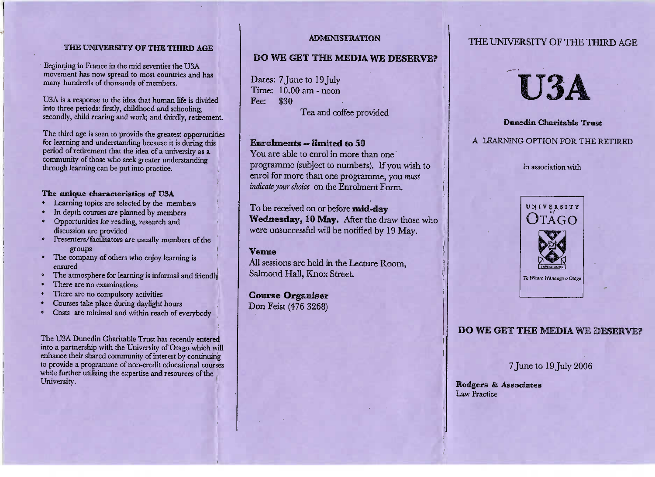#### THE UNIVERSITY OF THE THIRD AGE

Beginning in France in the mid seventies the USA movement has now spread to most countries and hasmany hundreds of thousands of members.

USA is a response to the idea that human life is divided into three periods: firstly, childhood and schooling; into three periods: firstly, childhood and schooling; secondly, child rearing and work; and thirdly, retirement.

The third age is seen to provide the greatest opportunities<br>for learning and understanding because it is during this period of retirement that the idea of a university as a period of retirement that the idea of a university as a community of those who seek greater understandingthrough learning can be put into practice.

### The **unique characteristics of** USA

- » Learning topics are selected by the members
- In depth courses are planned by members
- Opportunities for reading, research and
- discussion are provided<br>• Presenters/facilitators are usually members of the
- The company of others who enjoy learning is
- ensured<br>The atmosphere for learning is informal and friendly
- 
- There are no examinations<br>There are no compulsory activities
- Courses take place during daylight hours
- Courses take place during daylight hours Costs are minimal and within reach of everybody

The USA Dunedin Charnable Trust has recently entered<br>nto a partnership with the University of Otago which wil enhance their shared community of interest by continuing enhance their shared community of interest by continuing to provide a programme of non-credit educational courseswhile further utilising the expertise and resources of theUniversity,

### ADMINISTRATION

## **DO** WE **GET** THE **MEDIA WE DESERVE?**

Dates: 7 June to 19 July Time: 10.00 am - noonFee: \$30

Tea and coffee provided

### Enrolments «limited **to** 50

 You are able to enrol in more than one programme (subject to numbers). If you wish toenrol for more than one programme, you *mustindicate jour choice* on the Enrolment Form.

To be received on or before **mid-day Wednesday, 10** May. After the draw those whowere unsuccessful will be notified by 19 May.

### Venue

All sessions are held in the Lecture Room,Salmond Hall, Knox Street.

**Course Organiser**Don Feist (476 3268)

# THE UNIVERSITY OF THE THIRD AGE



## **Dunedin Charitable** Trust

### A LEARNING OPTION FOR THE RETIRED

in association with



## DO WE GET THE MEDIA WE DESERVE?

7 June to 19 July 2006

**Rodgers & Associates**Law Practice